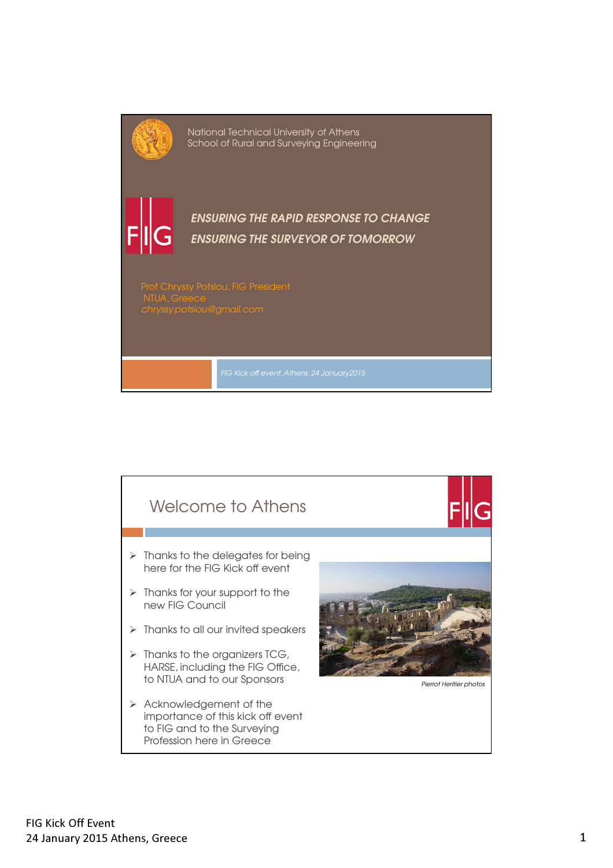

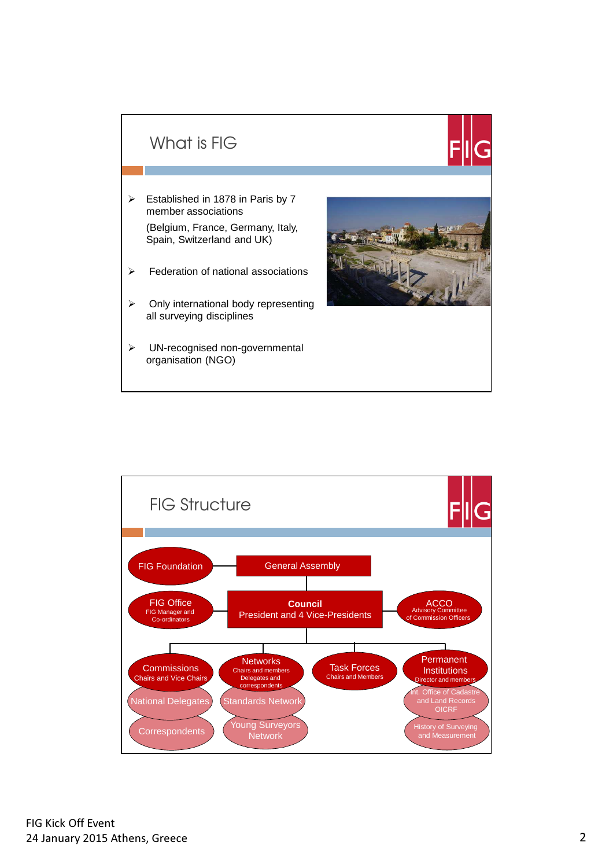## What is FIG

- $\triangleright$  Established in 1878 in Paris by 7 member associations (Belgium, France, Germany, Italy, Spain, Switzerland and UK)
- $\triangleright$  Federation of national associations
- $\triangleright$  Only international body representing all surveying disciplines
- > UN-recognised non-governmental organisation (NGO)

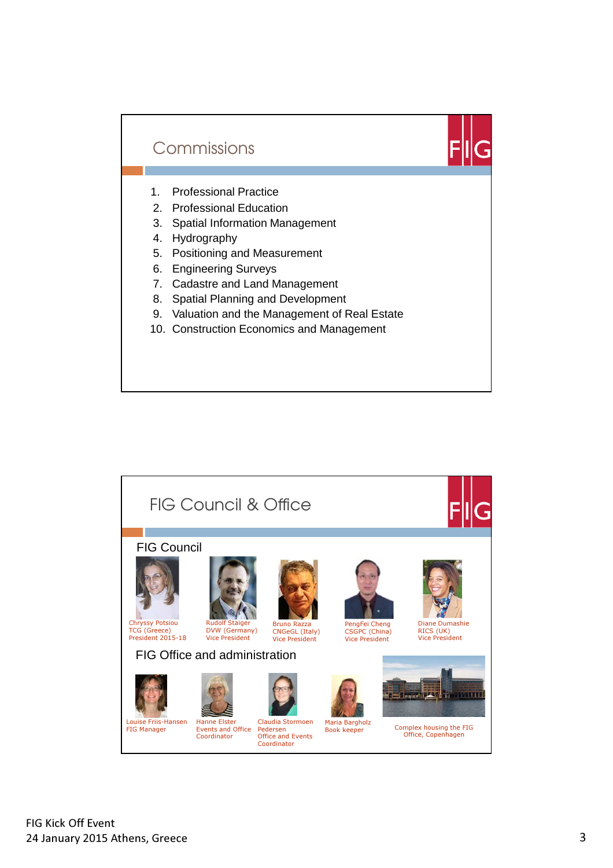



- 1. Professional Practice
- 2. Professional Education
- 3. Spatial Information Management
- 4. Hydrography
- 5. Positioning and Measurement
- 6. Engineering Surveys
- 7. Cadastre and Land Management
- 8. Spatial Planning and Development
- 9. Valuation and the Management of Real Estate
- 10. Construction Economics and Management

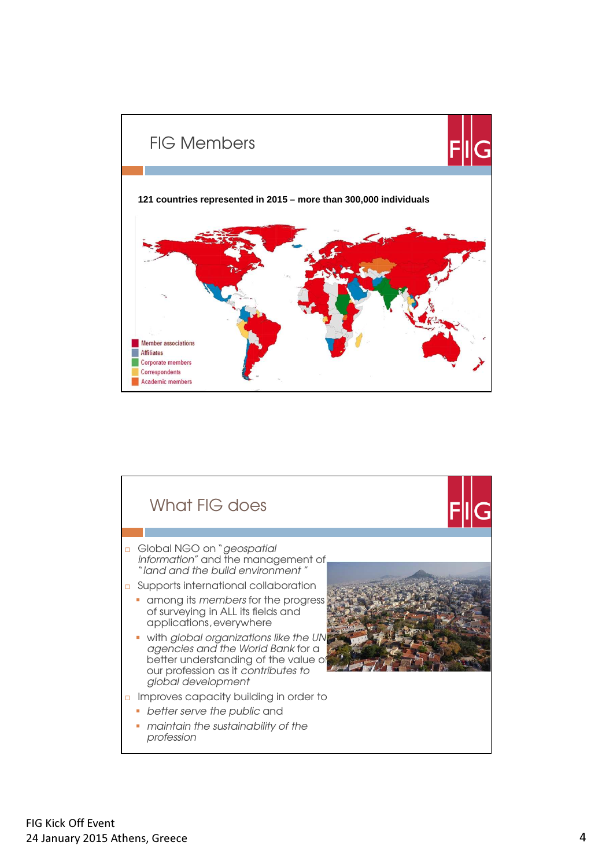

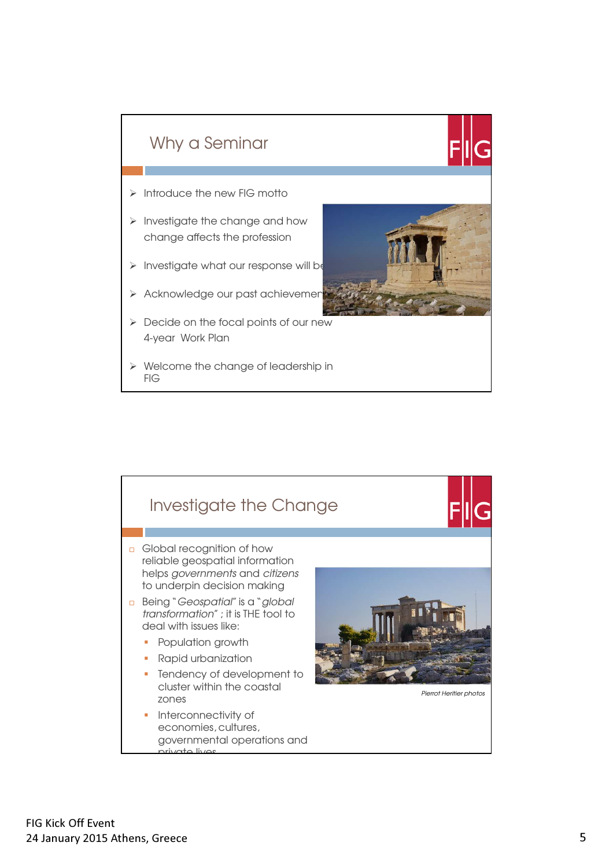

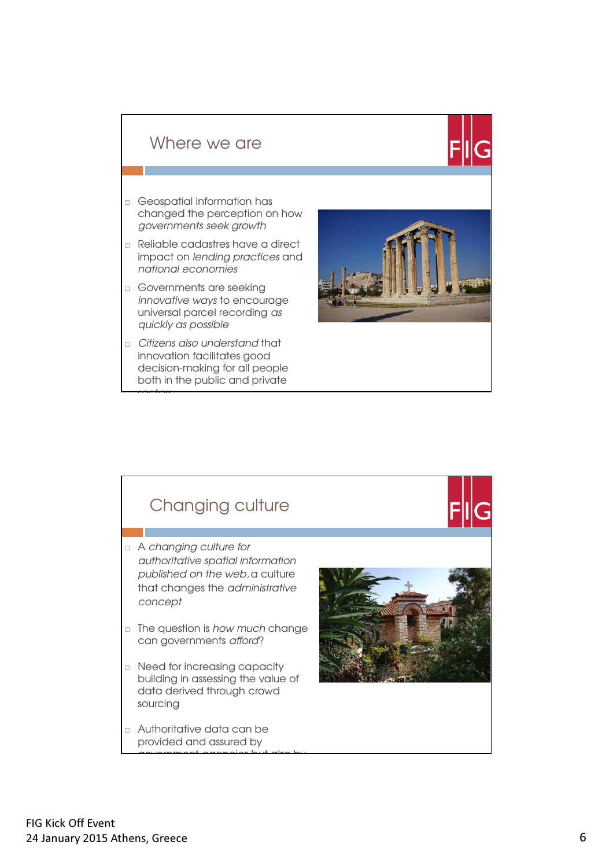#### Where we are

- Geospatial information has changed the perception on how governments seek growth
- Reliable cadastres have a direct impact on lending practices and national economies
- Governments are seeking innovative ways to encourage universal parcel recording as quickly as possible
- Citizens also understand that innovation facilitates good decision-making for all people both in the public and private

sectors



## Changing culture

- A changing culture for authoritative spatial information published on the web, a culture that changes the administrative concept
- $\Box$  The question is how much change can governments afford?
- n Need for increasing capacity building in assessing the value of data derived through crowd sourcing

government agencies but also by by

 Authoritative data can be provided and assured by

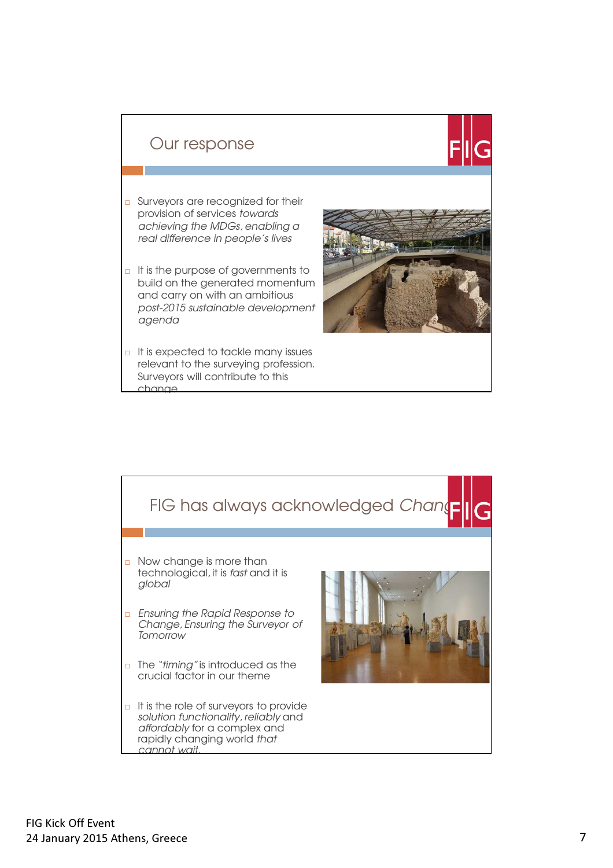

- Surveyors are recognized for their provision of services towards achieving the MDGs, enabling a real difference in people's lives
- $\Box$  It is the purpose of governments to build on the generated momentum and carry on with an ambitious post-2015 sustainable development agenda
- $\Box$  It is expected to tackle many issues relevant to the surveying profession. Surveyors will contribute to this change



# FIG has always acknowledged Change n Now change is more than technological, it is fast and it is global **Ensuring the Rapid Response to** Change, Ensuring the Surveyor of **Tomorrow**  $\Box$  The "timing" is introduced as the crucial factor in our theme  $\Box$  It is the role of surveyors to provide solution functionality, reliably and affordably for a complex and rapidly changing world that cannot wait.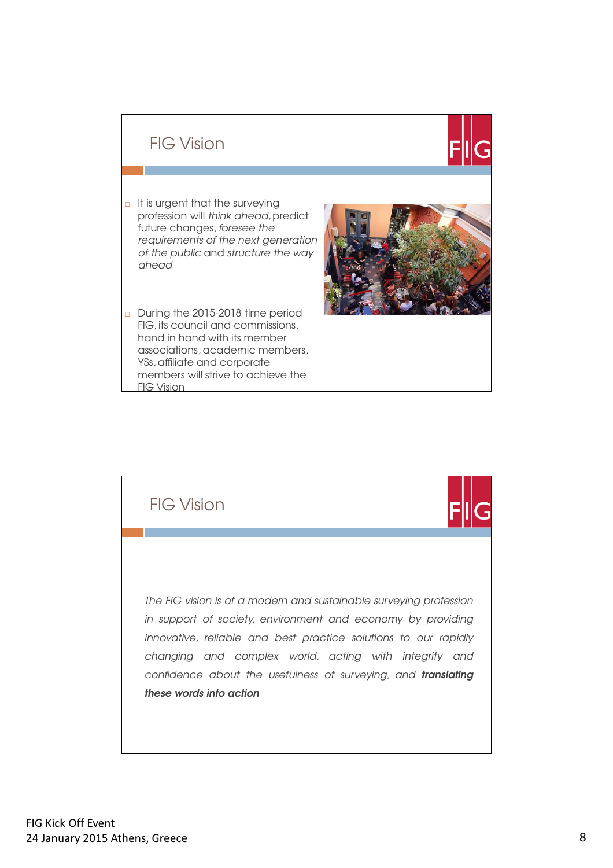## FIG Vision

- $\Box$  It is urgent that the surveying profession will think ahead, predict future changes, foresee the requirements of the next generation of the public and structure the way ahead
- During the 2015-2018 time period FIG, its council and commissions, hand in hand with its member associations, academic members, YSs, affiliate and corporate members will strive to achieve the FIG Vision



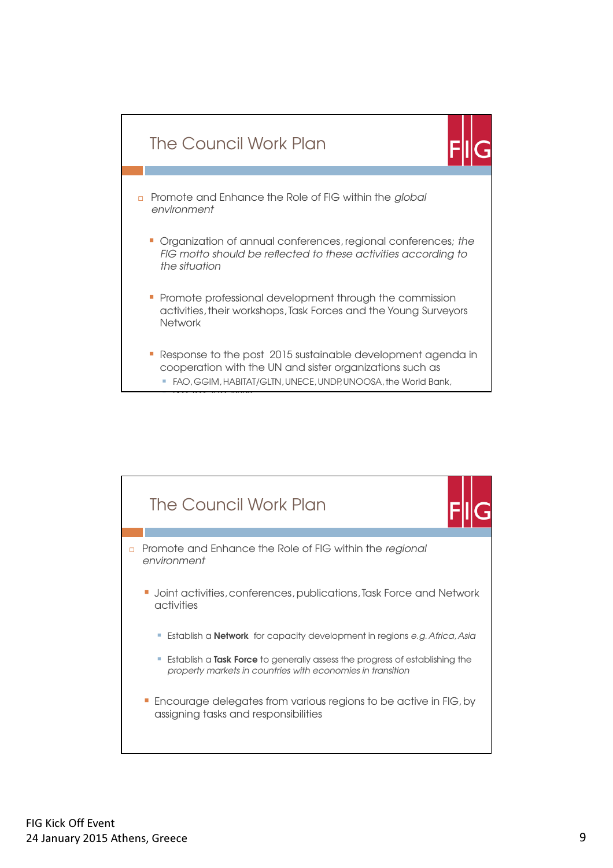

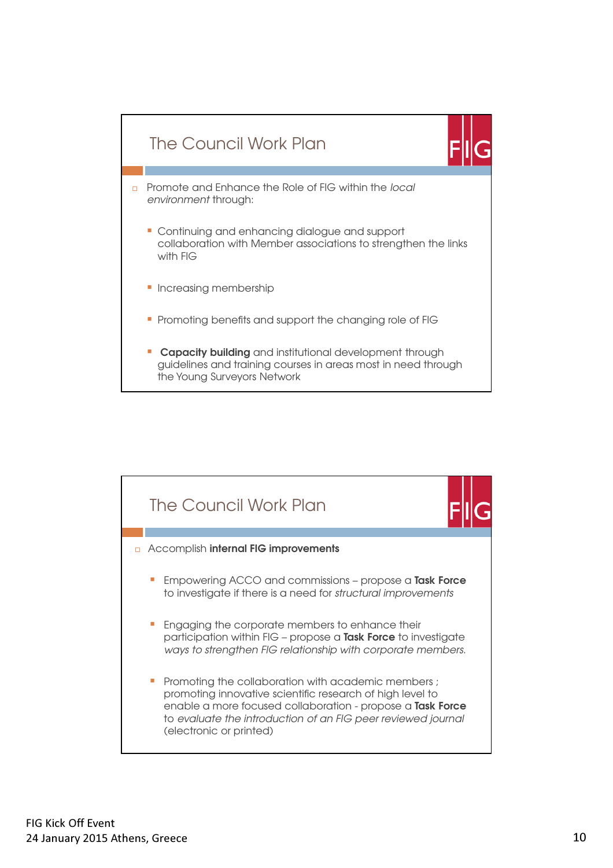